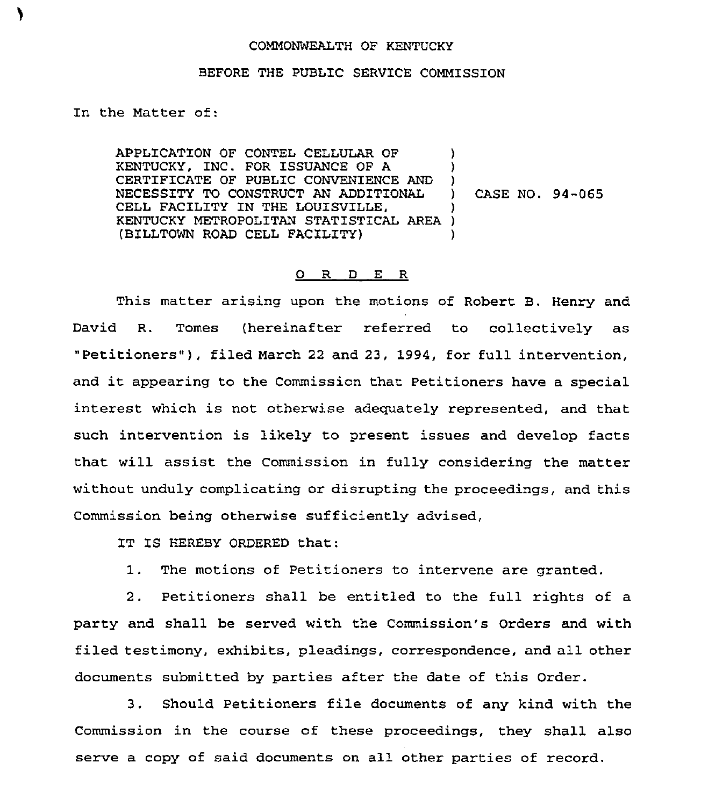## COMMONWEALTH OF KENTUCKY

## BEFORE THE PUBLIC SERVICE COMMISSION

In the Matter of:

APPLICATION OF CONTEL CELLULAR OF KENTUCKY, INC. FOR ISSUANCE OF A CERTIFICATE OF PUBLIC CONVENIENCE AND NECESSITY TO CONSTRUCT AN ADDITIONAL CELL FACILITY IN THE LOUISVILLE, KENTUCKY METROPOLITAN STATIST1CAL AREA ) (BILLTOWN ROAD CELL FACILITY) ) )  $\left\{ \right\}$ ) CASE NO. 94-065 ) )

## 0 R <sup>D</sup> E <sup>R</sup>

This matter arising upon the motions of Robert B. Henry and David R. Tomes (hereinafter referred to collectively as "Petitioners" ), filed March <sup>22</sup> and 23, 1994, for full intervention, and it appearing to the Commission that Petitioners have <sup>a</sup> special interest which is not otherwise adequately represented, and that such intervention is likely to present issues and develop facts that will assist the Commission in fully considering the matter without unduly complicating or disrupting the proceedings, and this Commission being otherwise sufficiently advised,

IT IS HEREBY ORDERED that:

1. The motions of Petitioners to intervene are granted.

2. Petitioners shall be entitled to the full rights of a party and shall be served with the Commission's Orders and with filed testimony, exhibits, pleadings, correspondence, and all other documents submitted by parties after the date of this Order.

3. Should Petitioners file documents of any kind with the Commission in the course of these proceedings, they shall also serve a copy of said documents on all other parties of record.